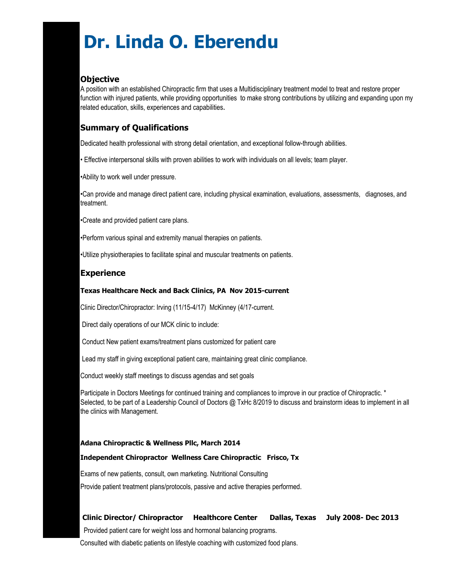# **Dr. Linda O. Eberendu**

# **Objective**

A position with an established Chiropractic firm that uses a Multidisciplinary treatment model to treat and restore proper function with injured patients, while providing opportunities to make strong contributions by utilizing and expanding upon my related education, skills, experiences and capabilities.

# **Summary of Qualifications**

Dedicated health professional with strong detail orientation, and exceptional follow-through abilities.

• Effective interpersonal skills with proven abilities to work with individuals on all levels; team player.

•Ability to work well under pressure.

•Can provide and manage direct patient care, including physical examination, evaluations, assessments, diagnoses, and treatment.

•Create and provided patient care plans.

- •Perform various spinal and extremity manual therapies on patients.
- •Utilize physiotherapies to facilitate spinal and muscular treatments on patients.

### **Experience**

#### **Texas Healthcare Neck and Back Clinics, PA Nov 2015-current**

Clinic Director/Chiropractor: Irving (11/15-4/17) McKinney (4/17-current.

Direct daily operations of our MCK clinic to include:

Conduct New patient exams/treatment plans customized for patient care

Lead my staff in giving exceptional patient care, maintaining great clinic compliance.

Conduct weekly staff meetings to discuss agendas and set goals

Participate in Doctors Meetings for continued training and compliances to improve in our practice of Chiropractic. \* Selected, to be part of a Leadership Council of Doctors @ TxHc 8/2019 to discuss and brainstorm ideas to implement in all the clinics with Management.

#### **Adana Chiropractic & Wellness Pllc, March 2014**

#### **Independent Chiropractor Wellness Care Chiropractic Frisco, Tx**

Exams of new patients, consult, own marketing. Nutritional Consulting Provide patient treatment plans/protocols, passive and active therapies performed.

**Clinic Director/ Chiropractor Healthcore Center Dallas, Texas July 2008- Dec 2013** 

Provided patient care for weight loss and hormonal balancing programs.

Consulted with diabetic patients on lifestyle coaching with customized food plans.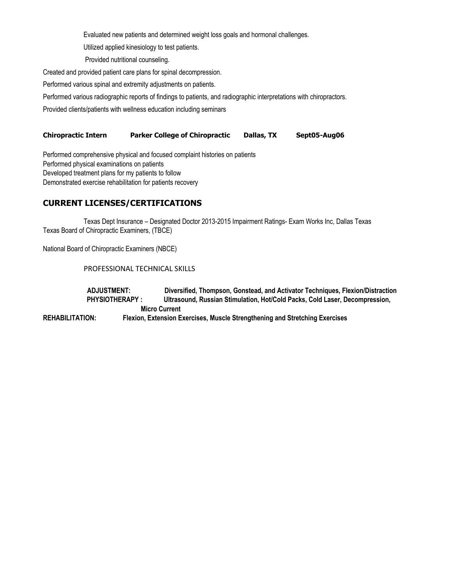Evaluated new patients and determined weight loss goals and hormonal challenges.

Utilized applied kinesiology to test patients.

Provided nutritional counseling.

Created and provided patient care plans for spinal decompression.

Performed various spinal and extremity adjustments on patients.

Performed various radiographic reports of findings to patients, and radiographic interpretations with chiropractors.

Provided clients/patients with wellness education including seminars

## **Chiropractic Intern Parker College of Chiropractic Dallas, TX Sept05-Aug06**

Performed comprehensive physical and focused complaint histories on patients Performed physical examinations on patients Developed treatment plans for my patients to follow Demonstrated exercise rehabilitation for patients recovery

# **CURRENT LICENSES/CERTIFICATIONS**

Texas Dept Insurance – Designated Doctor 2013-2015 Impairment Ratings- Exam Works Inc, Dallas Texas Texas Board of Chiropractic Examiners, (TBCE)

National Board of Chiropractic Examiners (NBCE)

## PROFESSIONAL TECHNICAL SKILLS

 **ADJUSTMENT: Diversified, Thompson, Gonstead, and Activator Techniques, Flexion/Distraction PHYSIOTHERAPY : Ultrasound, Russian Stimulation, Hot/Cold Packs, Cold Laser, Decompression, Micro Current REHABILITATION: Flexion, Extension Exercises, Muscle Strengthening and Stretching Exercises**